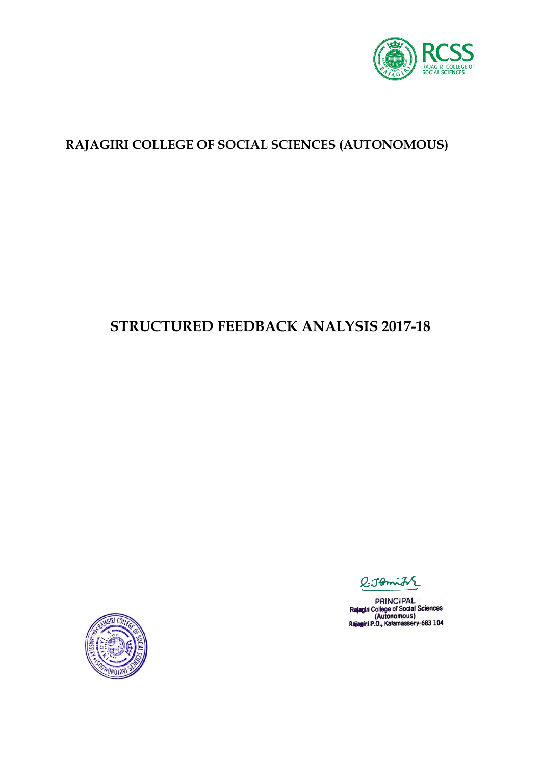

## **RAJAGIRI COLLEGE OF SOCIAL SCIENCES (AUTONOMOUS)**

# **STRUCTURED FEEDBACK ANALYSIS 2017-18**



 $Q$ -Jomith

**PRINCIPAL** Rajagiri College of Social Sciences<br>(Autonomous)<br>Rajagiri P.O., Kalamassery-683 104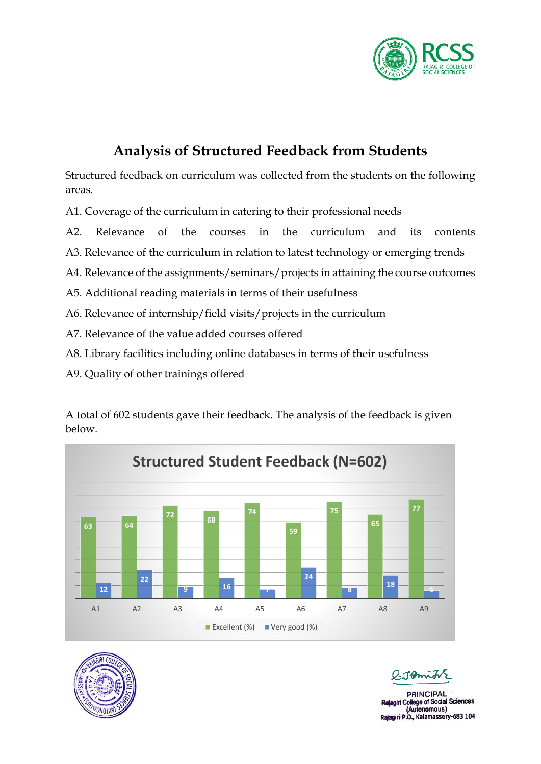

# **Analysis of Structured Feedback from Students**

Structured feedback on curriculum was collected from the students on the following areas.

A1. Coverage of the curriculum in catering to their professional needs

- A2. Relevance of the courses in the curriculum and its contents
- A3. Relevance of the curriculum in relation to latest technology or emerging trends
- A4. Relevance of the assignments/seminars/projects in attaining the course outcomes
- A5. Additional reading materials in terms of their usefulness
- A6. Relevance of internship/field visits/projects in the curriculum
- A7. Relevance of the value added courses offered
- A8. Library facilities including online databases in terms of their usefulness
- A9. Quality of other trainings offered

A total of 602 students gave their feedback. The analysis of the feedback is given below.





**PRINCIPAL** College of Social Sciences (Autonomous)<br>Rajagiri P.O., Kalamassery-683 104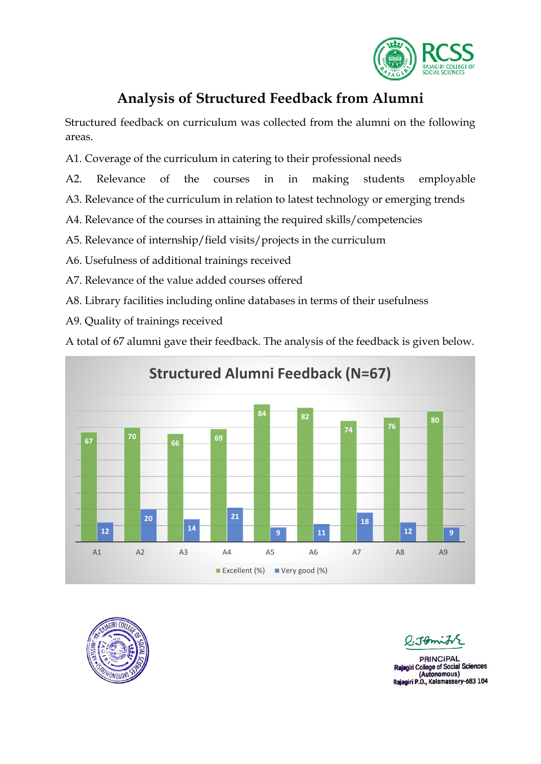

## **Analysis of Structured Feedback from Alumni**

Structured feedback on curriculum was collected from the alumni on the following areas.

- A1. Coverage of the curriculum in catering to their professional needs
- A2. Relevance of the courses in in making students employable
- A3. Relevance of the curriculum in relation to latest technology or emerging trends
- A4. Relevance of the courses in attaining the required skills/competencies
- A5. Relevance of internship/field visits/projects in the curriculum
- A6. Usefulness of additional trainings received
- A7. Relevance of the value added courses offered
- A8. Library facilities including online databases in terms of their usefulness
- A9. Quality of trainings received

A total of 67 alumni gave their feedback. The analysis of the feedback is given below.





**PRINCIPAL College of Social Sciences** (Autonomous) Rajagiri P.O., Kalamassery-683 104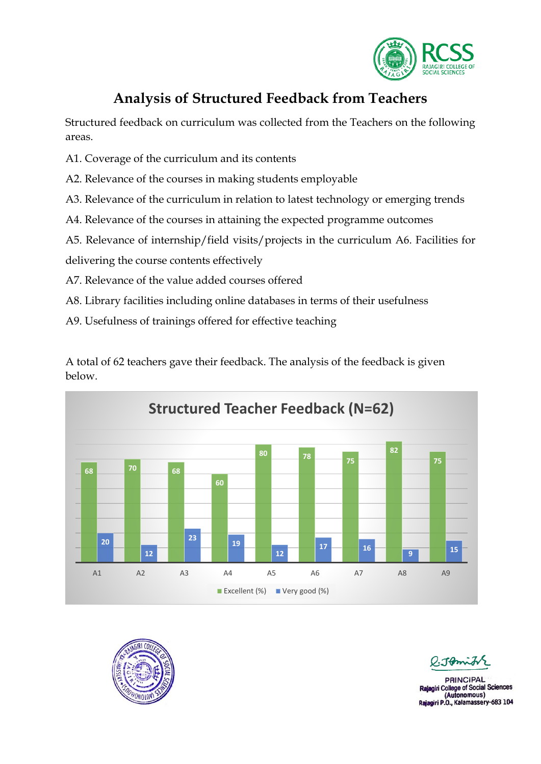

## **Analysis of Structured Feedback from Teachers**

Structured feedback on curriculum was collected from the Teachers on the following areas.

- A1. Coverage of the curriculum and its contents
- A2. Relevance of the courses in making students employable
- A3. Relevance of the curriculum in relation to latest technology or emerging trends
- A4. Relevance of the courses in attaining the expected programme outcomes
- A5. Relevance of internship/field visits/projects in the curriculum A6. Facilities for

delivering the course contents effectively

- A7. Relevance of the value added courses offered
- A8. Library facilities including online databases in terms of their usefulness
- A9. Usefulness of trainings offered for effective teaching







Tomis

**PRINCIPAL** i College of Social Sciences (Autonomous) Rajagiri P.O., Kalamassery-683 104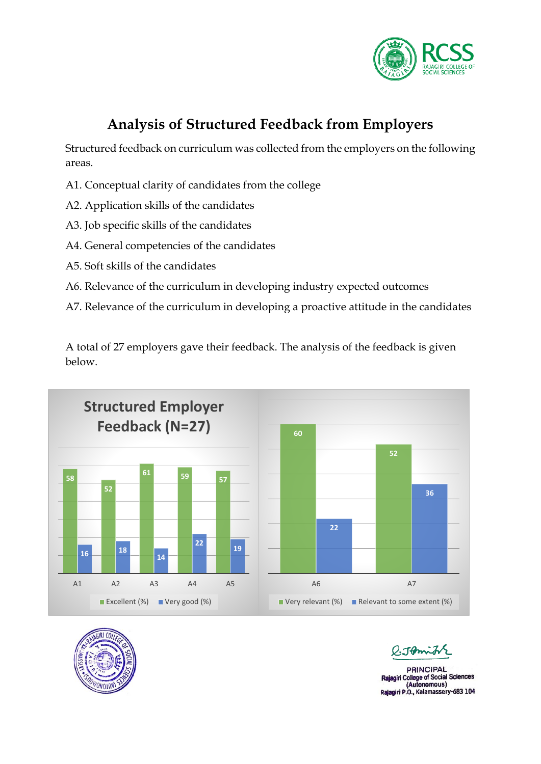

# **Analysis of Structured Feedback from Employers**

Structured feedback on curriculum was collected from the employers on the following areas.

- A1. Conceptual clarity of candidates from the college
- A2. Application skills of the candidates
- A3. Job specific skills of the candidates
- A4. General competencies of the candidates
- A5. Soft skills of the candidates
- A6. Relevance of the curriculum in developing industry expected outcomes
- A7. Relevance of the curriculum in developing a proactive attitude in the candidates

A total of 27 employers gave their feedback. The analysis of the feedback is given below.







ገው

**PRINCIPAL** Rajagiri College of Social Sciences (Autonomous) Rajagiri P.O., Kalamassery-683 104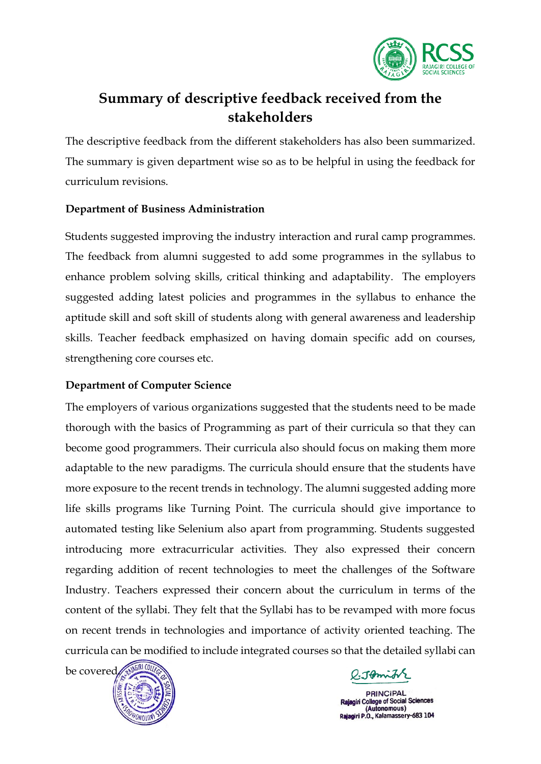

## **Summary of descriptive feedback received from the stakeholders**

The descriptive feedback from the different stakeholders has also been summarized. The summary is given department wise so as to be helpful in using the feedback for curriculum revisions.

#### **Department of Business Administration**

Students suggested improving the industry interaction and rural camp programmes. The feedback from alumni suggested to add some programmes in the syllabus to enhance problem solving skills, critical thinking and adaptability. The employers suggested adding latest policies and programmes in the syllabus to enhance the aptitude skill and soft skill of students along with general awareness and leadership skills. Teacher feedback emphasized on having domain specific add on courses, strengthening core courses etc.

### **Department of Computer Science**

The employers of various organizations suggested that the students need to be made thorough with the basics of Programming as part of their curricula so that they can become good programmers. Their curricula also should focus on making them more adaptable to the new paradigms. The curricula should ensure that the students have more exposure to the recent trends in technology. The alumni suggested adding more life skills programs like Turning Point. The curricula should give importance to automated testing like Selenium also apart from programming. Students suggested introducing more extracurricular activities. They also expressed their concern regarding addition of recent technologies to meet the challenges of the Software Industry. Teachers expressed their concern about the curriculum in terms of the content of the syllabi. They felt that the Syllabi has to be revamped with more focus on recent trends in technologies and importance of activity oriented teaching. The curricula can be modified to include integrated courses so that the detailed syllabi can



 $0.1$ min

**PRINCIPAL** Rajagiri College of Social Sciences (Autonomous) Rajagiri P.O., Kalamassery-683 104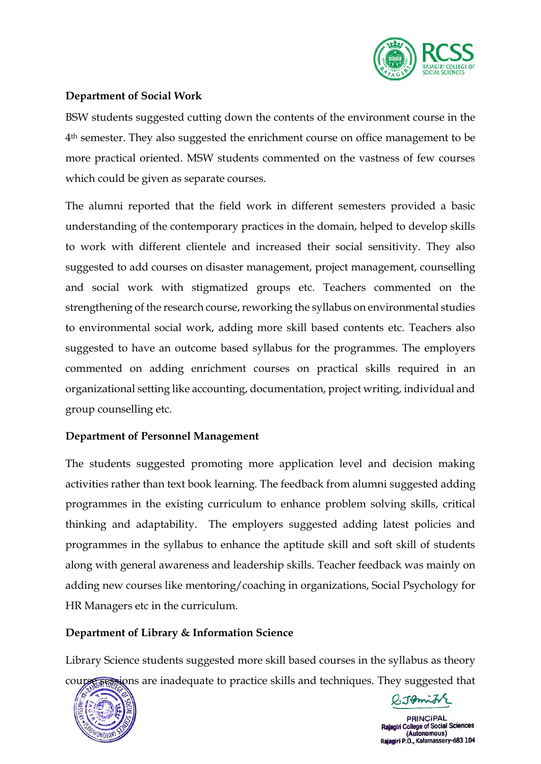

### **Department of Social Work**

BSW students suggested cutting down the contents of the environment course in the 4th semester. They also suggested the enrichment course on office management to be more practical oriented. MSW students commented on the vastness of few courses which could be given as separate courses.

The alumni reported that the field work in different semesters provided a basic understanding of the contemporary practices in the domain, helped to develop skills to work with different clientele and increased their social sensitivity. They also suggested to add courses on disaster management, project management, counselling and social work with stigmatized groups etc. Teachers commented on the strengthening of the research course, reworking the syllabus on environmental studies to environmental social work, adding more skill based contents etc. Teachers also suggested to have an outcome based syllabus for the programmes. The employers commented on adding enrichment courses on practical skills required in an organizational setting like accounting, documentation, project writing, individual and group counselling etc.

### **Department of Personnel Management**

The students suggested promoting more application level and decision making activities rather than text book learning. The feedback from alumni suggested adding programmes in the existing curriculum to enhance problem solving skills, critical thinking and adaptability. The employers suggested adding latest policies and programmes in the syllabus to enhance the aptitude skill and soft skill of students along with general awareness and leadership skills. Teacher feedback was mainly on adding new courses like mentoring/coaching in organizations, Social Psychology for HR Managers etc in the curriculum.

### **Department of Library & Information Science**

Library Science students suggested more skill based courses in the syllabus as theory course sessions are inadequate to practice skills and techniques. They suggested that



l:Jomith

**PRINCIPAL** Rajagiri College of Social Sciences (Autonomous) P.O., Kalamassery-683 104